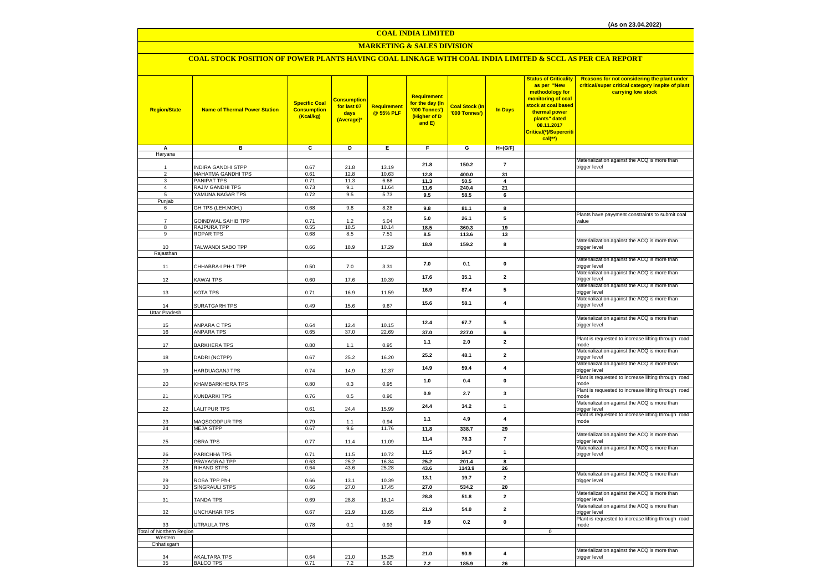### **COAL INDIA LIMITED**

### **MARKETING & SALES DIVISION**

### **COAL STOCK POSITION OF POWER PLANTS HAVING COAL LINKAGE WITH COAL INDIA LIMITED & SCCL AS PER CEA REPORT**

| <b>Region/State</b>             | <b>Name of Thermal Power Station</b>     | <b>Specific Coal</b><br><b>Consumption</b><br>(Kcal/kg) | <mark>Consumption</mark><br>for last 07<br>days<br>(Average)* | <b>Requirement</b><br>@ 55% PLF | <b>Requirement</b><br>for the day (In<br>'000 Tonnes')<br>(Higher of D<br>and E) | <b>Coal Stock (In</b><br>'000 Tonnes') | <b>In Days</b>          | <b>Status of Criticality</b><br>as per "New<br>methodology for<br>monitoring of coal<br>stock at coal based<br>thermal power<br>plants" dated<br>08.11.2017<br>Critical(*)/Supercriti<br>cal(**) | Reasons for not considering the plant under<br>critical/super critical category inspite of plant<br>carrying low stock |
|---------------------------------|------------------------------------------|---------------------------------------------------------|---------------------------------------------------------------|---------------------------------|----------------------------------------------------------------------------------|----------------------------------------|-------------------------|--------------------------------------------------------------------------------------------------------------------------------------------------------------------------------------------------|------------------------------------------------------------------------------------------------------------------------|
| A<br>Haryana                    | в                                        | C                                                       | D                                                             | Е.                              | F.                                                                               | G                                      | $H=(G/F)$               |                                                                                                                                                                                                  |                                                                                                                        |
|                                 |                                          |                                                         |                                                               |                                 |                                                                                  |                                        |                         |                                                                                                                                                                                                  | Materialization against the ACQ is more than                                                                           |
| 1                               | INDIRA GANDHI STPP                       | 0.67                                                    | 21.8                                                          | 13.19                           | 21.8                                                                             | 150.2                                  | $\overline{7}$          |                                                                                                                                                                                                  | trigger level                                                                                                          |
| $\overline{c}$<br>3             | MAHATMA GANDHI TPS<br><b>PANIPAT TPS</b> | 0.61<br>0.71                                            | 12.8<br>11.3                                                  | 10.63<br>6.68                   | 12.8<br>11.3                                                                     | 400.0<br>50.5                          | 31<br>4                 |                                                                                                                                                                                                  |                                                                                                                        |
| $\overline{4}$                  | RAJIV GANDHI TPS                         | 0.73                                                    | 9.1                                                           | 11.64                           | 11.6                                                                             | 240.4                                  | 21                      |                                                                                                                                                                                                  |                                                                                                                        |
| 5                               | YAMUNA NAGAR TPS                         | 0.72                                                    | 9.5                                                           | 5.73                            | 9.5                                                                              | 58.5                                   | 6                       |                                                                                                                                                                                                  |                                                                                                                        |
| Punjab                          |                                          |                                                         |                                                               |                                 |                                                                                  |                                        |                         |                                                                                                                                                                                                  |                                                                                                                        |
| 6                               | GH TPS (LEH.MOH.)                        | 0.68                                                    | 9.8                                                           | 8.28                            | 9.8                                                                              | 81.1                                   | 8                       |                                                                                                                                                                                                  |                                                                                                                        |
| $\overline{7}$                  | GOINDWAL SAHIB TPP                       | 0.71                                                    | 1.2                                                           | 5.04                            | 5.0                                                                              | 26.1                                   | 5                       |                                                                                                                                                                                                  | Plants have payyment constraints to submit coal<br>value                                                               |
| 8                               | RAJPURA TPP                              | 0.55                                                    | 18.5                                                          | 10.14                           | 18.5                                                                             | 360.3                                  | 19                      |                                                                                                                                                                                                  |                                                                                                                        |
| 9                               | <b>ROPAR TPS</b>                         | 0.68                                                    | 8.5                                                           | 7.51                            | 8.5                                                                              | 113.6                                  | 13                      |                                                                                                                                                                                                  |                                                                                                                        |
| 10                              | TALWANDI SABO TPP                        | 0.66                                                    | 18.9                                                          | 17.29                           | 18.9                                                                             | 159.2                                  | 8                       |                                                                                                                                                                                                  | Materialization against the ACQ is more than<br>trigger level                                                          |
| Rajasthan                       |                                          |                                                         |                                                               |                                 |                                                                                  |                                        |                         |                                                                                                                                                                                                  |                                                                                                                        |
| 11                              | CHHABRA-I PH-1 TPP                       | 0.50                                                    | 7.0                                                           | 3.31                            | 7.0                                                                              | 0.1                                    | $\mathbf{0}$            |                                                                                                                                                                                                  | Materialization against the ACQ is more than<br>trigger level                                                          |
|                                 |                                          |                                                         |                                                               |                                 |                                                                                  |                                        |                         |                                                                                                                                                                                                  | Materialization against the ACQ is more than                                                                           |
| 12                              | KAWAI TPS                                | 0.60                                                    | 17.6                                                          | 10.39                           | 17.6                                                                             | 35.1                                   | $\overline{2}$          |                                                                                                                                                                                                  | trigger level                                                                                                          |
| 13                              | KOTA TPS                                 | 0.71                                                    | 16.9                                                          | 11.59                           | 16.9                                                                             | 87.4                                   | 5                       |                                                                                                                                                                                                  | Materialization against the ACQ is more than<br>trigger level                                                          |
| 14                              | SURATGARH TPS                            | 0.49                                                    | 15.6                                                          | 9.67                            | 15.6                                                                             | 58.1                                   | $\overline{\mathbf{4}}$ |                                                                                                                                                                                                  | Materialization against the ACQ is more than<br>trigger level                                                          |
| Uttar Pradesh                   |                                          |                                                         |                                                               |                                 |                                                                                  |                                        |                         |                                                                                                                                                                                                  |                                                                                                                        |
|                                 |                                          |                                                         |                                                               |                                 | 12.4                                                                             | 67.7                                   | 5                       |                                                                                                                                                                                                  | Materialization against the ACQ is more than                                                                           |
| 15                              | ANPARA C TPS                             | 0.64                                                    | 12.4                                                          | 10.15                           |                                                                                  |                                        |                         |                                                                                                                                                                                                  | trigger level                                                                                                          |
| 16                              | ANPARA TPS                               | 0.65                                                    | 37.0                                                          | 22.69                           | 37.0                                                                             | 227.0                                  | 6                       |                                                                                                                                                                                                  | Plant is requested to increase lifting through road                                                                    |
| 17                              | <b>BARKHERA TPS</b>                      | 0.80                                                    | 1.1                                                           | 0.95                            | 1.1                                                                              | 2.0                                    | $\overline{\mathbf{2}}$ |                                                                                                                                                                                                  | mode                                                                                                                   |
| 18                              | DADRI (NCTPP)                            | 0.67                                                    | 25.2                                                          | 16.20                           | 25.2                                                                             | 48.1                                   | $\overline{2}$          |                                                                                                                                                                                                  | Materialization against the ACQ is more than<br>trigger level                                                          |
| 19                              | HARDUAGANJ TPS                           | 0.74                                                    | 14.9                                                          | 12.37                           | 14.9                                                                             | 59.4                                   | $\overline{\mathbf{4}}$ |                                                                                                                                                                                                  | Materialization against the ACQ is more than<br>trigger level                                                          |
|                                 |                                          |                                                         |                                                               |                                 | 1.0                                                                              | 0.4                                    | $\mathbf 0$             |                                                                                                                                                                                                  | Plant is requested to increase lifting through road                                                                    |
| 20                              | KHAMBARKHERA TPS                         | 0.80                                                    | 0.3                                                           | 0.95                            | 0.9                                                                              | 2.7                                    | $\mathbf{3}$            |                                                                                                                                                                                                  | mode<br>Plant is requested to increase lifting through road                                                            |
| 21                              | KUNDARKI TPS                             | 0.76                                                    | 0.5                                                           | 0.90                            |                                                                                  |                                        |                         |                                                                                                                                                                                                  | mode                                                                                                                   |
| 22                              | LALITPUR TPS                             | 0.61                                                    | 24.4                                                          | 15.99                           | 24.4                                                                             | 34.2                                   | $\mathbf{1}$            |                                                                                                                                                                                                  | Materialization against the ACQ is more than<br>trigger level                                                          |
| 23                              | MAQSOODPUR TPS                           | 0.79                                                    | 1.1                                                           | 0.94                            | 1.1                                                                              | 4.9                                    | $\overline{\mathbf{4}}$ |                                                                                                                                                                                                  | Plant is requested to increase lifting through road<br>mode                                                            |
| 24                              | <b>MEJA STPP</b>                         | 0.67                                                    | 9.6                                                           | 11.76                           | 11.8                                                                             | 338.7                                  | 29                      |                                                                                                                                                                                                  |                                                                                                                        |
| 25                              | <b>OBRA TPS</b>                          | 0.77                                                    | 11.4                                                          | 11.09                           | 11.4                                                                             | 78.3                                   | $\overline{7}$          |                                                                                                                                                                                                  | Materialization against the ACQ is more than<br>trigger level                                                          |
| 26                              | PARICHHA TPS                             | 0.71                                                    | 11.5                                                          | 10.72                           | 11.5                                                                             | 14.7                                   | $\mathbf{1}$            |                                                                                                                                                                                                  | Materialization against the ACQ is more than<br>trigger level                                                          |
| 27                              | PRAYAGRAJ TPP                            | 0.63                                                    | 25.2                                                          | 16.34                           | 25.2                                                                             | 201.4                                  | 8                       |                                                                                                                                                                                                  |                                                                                                                        |
| 28                              | <b>RIHAND STPS</b>                       | 0.64                                                    | 43.6                                                          | 25.28                           | 43.6                                                                             | 1143.9                                 | 26                      |                                                                                                                                                                                                  |                                                                                                                        |
| 29                              | ROSA TPP Ph-I                            | 0.66                                                    | 13.1                                                          | 10.39                           | 13.1                                                                             | 19.7                                   | $\overline{2}$          |                                                                                                                                                                                                  | Materialization against the ACQ is more than<br>trigger level                                                          |
| 30                              | SINGRAULI STPS                           | 0.66                                                    | 27.0                                                          | 17.45                           | 27.0                                                                             | 534.2                                  | 20                      |                                                                                                                                                                                                  |                                                                                                                        |
| 31                              | <b>TANDA TPS</b>                         | 0.69                                                    | 28.8                                                          | 16.14                           | 28.8                                                                             | 51.8                                   | $\mathbf{2}$            |                                                                                                                                                                                                  | Materialization against the ACQ is more than<br>trigger level                                                          |
| 32                              | UNCHAHAR TPS                             | 0.67                                                    | 21.9                                                          | 13.65                           | 21.9                                                                             | 54.0                                   | $\overline{\mathbf{2}}$ |                                                                                                                                                                                                  | Materialization against the ACQ is more than<br>trigger level                                                          |
| 33                              | UTRAULA TPS                              | 0.78                                                    | 0.1                                                           | 0.93                            | 0.9                                                                              | 0.2                                    | $\pmb{0}$               |                                                                                                                                                                                                  | Plant is requested to increase lifting through road<br>mode                                                            |
| <b>Total of Northern Region</b> |                                          |                                                         |                                                               |                                 |                                                                                  |                                        |                         | $\mathsf 0$                                                                                                                                                                                      |                                                                                                                        |
| Western                         |                                          |                                                         |                                                               |                                 |                                                                                  |                                        |                         |                                                                                                                                                                                                  |                                                                                                                        |
| Chhatisgarh                     |                                          |                                                         |                                                               |                                 |                                                                                  |                                        |                         |                                                                                                                                                                                                  | Materialization against the ACQ is more than                                                                           |
| 34                              | <b>AKALTARA TPS</b>                      | 0.64                                                    | 21.0                                                          | 15.25                           | 21.0                                                                             | 90.9                                   | $\overline{4}$          |                                                                                                                                                                                                  | trigger level                                                                                                          |
| 35                              | <b>BALCO TPS</b>                         | 0.71                                                    | 7.2                                                           | 5.60                            | 7.2                                                                              | 185.9                                  | 26                      |                                                                                                                                                                                                  |                                                                                                                        |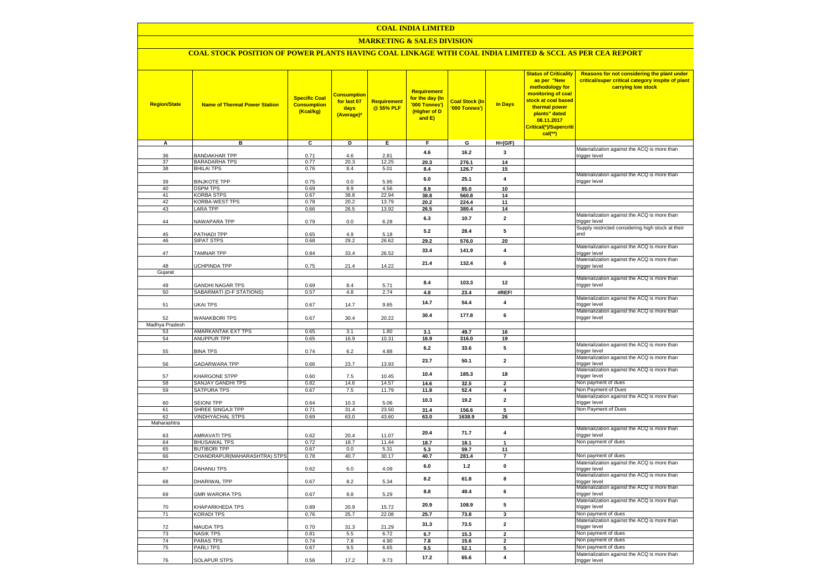#### **COAL INDIA LIMITED**

### **MARKETING & SALES DIVISION**

## **COAL STOCK POSITION OF POWER PLANTS HAVING COAL LINKAGE WITH COAL INDIA LIMITED & SCCL AS PER CEA REPORT**

| <b>Region/State</b> | <b>Name of Thermal Power Station</b> | <b>Specific Coal</b><br><b>Consumption</b><br>(Kcal/kg) | <b>Consumption</b><br>for last 07<br>days<br>(Average) | <b>Requirement</b><br>@ 55% PLF | <b>Requirement</b><br>for the day (In<br>'000 Tonnes')<br>(Higher of D<br>and E) | <b>Coal Stock (In</b><br>'000 Tonnes') | <b>In Days</b>                   | <b>Status of Criticality</b><br>as per "New<br>methodology for<br>monitoring of coal<br>stock at coal based<br>thermal power<br>plants" dated<br>08.11.2017<br>Critical(*)/Supercriti<br>cal(**) | Reasons for not considering the plant under<br>critical/super critical category inspite of plant<br>carrying low stock |
|---------------------|--------------------------------------|---------------------------------------------------------|--------------------------------------------------------|---------------------------------|----------------------------------------------------------------------------------|----------------------------------------|----------------------------------|--------------------------------------------------------------------------------------------------------------------------------------------------------------------------------------------------|------------------------------------------------------------------------------------------------------------------------|
| A                   | в                                    | $\overline{c}$                                          | Þ                                                      | E.                              | F.                                                                               | G                                      | $H=(G/F)$                        |                                                                                                                                                                                                  |                                                                                                                        |
| 36                  | <b>BANDAKHAR TPP</b>                 | 0.71                                                    | 4.6                                                    | 2.81                            | 4.6                                                                              | 16.2                                   | $\mathbf{3}$                     |                                                                                                                                                                                                  | Materialization against the ACQ is more than<br>trigger level                                                          |
| 37                  | <b>BARADARHA TPS</b>                 | 0.77                                                    | 20.3                                                   | 12.25                           | 20.3                                                                             | 276.1                                  | 14                               |                                                                                                                                                                                                  |                                                                                                                        |
| 38                  | <b>BHILAI TPS</b>                    | 0.76                                                    | 8.4                                                    | 5.01                            | 8.4                                                                              | 126.7                                  | 15                               |                                                                                                                                                                                                  |                                                                                                                        |
|                     |                                      |                                                         |                                                        |                                 |                                                                                  |                                        | $\overline{4}$                   |                                                                                                                                                                                                  | Materialization against the ACQ is more than                                                                           |
| 39                  | <b>BINJKOTE TPP</b>                  | 0.75                                                    | 0.0                                                    | 5.95                            | $6.0\,$                                                                          | 25.1                                   |                                  |                                                                                                                                                                                                  | trigger level                                                                                                          |
| 40                  | <b>DSPM TPS</b>                      | 0.69                                                    | 8.9                                                    | 4.56                            | 8.9                                                                              | 85.0                                   | 10                               |                                                                                                                                                                                                  |                                                                                                                        |
| 41<br>42            | <b>KORBA STPS</b>                    | 0.67                                                    | 38.8                                                   | 22.94                           | 38.8                                                                             | 560.8                                  | 14                               |                                                                                                                                                                                                  |                                                                                                                        |
| 43                  | KORBA-WEST TPS<br><b>LARA TPP</b>    | 0.78<br>0.66                                            | 20.2<br>26.5                                           | 13.79<br>13.92                  | 20.2                                                                             | 224.4                                  | 11<br>14                         |                                                                                                                                                                                                  |                                                                                                                        |
|                     |                                      |                                                         |                                                        |                                 | 26.5                                                                             | 380.4                                  |                                  |                                                                                                                                                                                                  | Materialization against the ACQ is more than                                                                           |
| 44                  | NAWAPARA TPP                         | 0.79                                                    | 0.0                                                    | 6.28                            | 6.3                                                                              | 10.7                                   | $\overline{2}$                   |                                                                                                                                                                                                  | trigger level                                                                                                          |
|                     |                                      |                                                         |                                                        |                                 | 5.2                                                                              | 28.4                                   | 5                                |                                                                                                                                                                                                  | Supply restricted considering high stock at their                                                                      |
| 45                  | PATHADI TPP                          | 0.65                                                    | 4.9                                                    | 5.18                            |                                                                                  |                                        |                                  |                                                                                                                                                                                                  | end                                                                                                                    |
| 46                  | <b>SIPAT STPS</b>                    | 0.68                                                    | 29.2                                                   | 26.62                           | 29.2                                                                             | 576.0                                  | 20                               |                                                                                                                                                                                                  |                                                                                                                        |
| 47                  | TAMNAR TPP                           | 0.84                                                    | 33.4                                                   | 26.52                           | 33.4                                                                             | 141.9                                  | $\overline{\mathbf{4}}$          |                                                                                                                                                                                                  | Materialization against the ACQ is more than<br>trigger level                                                          |
|                     |                                      |                                                         |                                                        |                                 |                                                                                  |                                        |                                  |                                                                                                                                                                                                  | Materialization against the ACQ is more than                                                                           |
| 48                  | UCHPINDA TPP                         | 0.75                                                    | 21.4                                                   | 14.22                           | 21.4                                                                             | 132.4                                  | 6                                |                                                                                                                                                                                                  | trigger level                                                                                                          |
| Gujarat             |                                      |                                                         |                                                        |                                 |                                                                                  |                                        |                                  |                                                                                                                                                                                                  |                                                                                                                        |
|                     |                                      |                                                         |                                                        |                                 | 8.4                                                                              | 103.3                                  | 12                               |                                                                                                                                                                                                  | Materialization against the ACQ is more than                                                                           |
| 49                  | <b>GANDHI NAGAR TPS</b>              | 0.69                                                    | 8.4                                                    | 5.71                            |                                                                                  |                                        |                                  |                                                                                                                                                                                                  | trigger level                                                                                                          |
| 50                  | SABARMATI (D-F STATIONS)             | 0.57                                                    | 4.8                                                    | 2.74                            | 4.8                                                                              | 23.4                                   | #REF!                            |                                                                                                                                                                                                  | Materialization against the ACQ is more than                                                                           |
| 51                  | UKAI TPS                             | 0.67                                                    | 14.7                                                   | 9.85                            | 14.7                                                                             | 54.4                                   | $\overline{4}$                   |                                                                                                                                                                                                  | trigger level                                                                                                          |
|                     |                                      |                                                         |                                                        |                                 |                                                                                  |                                        |                                  |                                                                                                                                                                                                  | Materialization against the ACQ is more than                                                                           |
| 52                  | <b>WANAKBORI TPS</b>                 | 0.67                                                    | 30.4                                                   | 20.22                           | 30.4                                                                             | 177.8                                  | 6                                |                                                                                                                                                                                                  | trigger level                                                                                                          |
| Madhya Pradesh      |                                      |                                                         |                                                        |                                 |                                                                                  |                                        |                                  |                                                                                                                                                                                                  |                                                                                                                        |
| 53                  | AMARKANTAK EXT TPS                   | 0.65                                                    | 3.1                                                    | 1.80                            | 3.1                                                                              | 49.7                                   | 16                               |                                                                                                                                                                                                  |                                                                                                                        |
| 54                  | <b>ANUPPUR TPP</b>                   | 0.65                                                    | 16.9                                                   | 10.31                           | 16.9                                                                             | 316.0                                  | 19                               |                                                                                                                                                                                                  |                                                                                                                        |
| 55                  | <b>BINA TPS</b>                      | 0.74                                                    | 6.2                                                    | 4.88                            | 6.2                                                                              | 33.6                                   | 5                                |                                                                                                                                                                                                  | Materialization against the ACQ is more than<br>trigger level                                                          |
|                     |                                      |                                                         |                                                        |                                 |                                                                                  |                                        |                                  |                                                                                                                                                                                                  | Materialization against the ACQ is more than                                                                           |
| 56                  | <b>GADARWARA TPP</b>                 | 0.66                                                    | 23.7                                                   | 13.93                           | 23.7                                                                             | 50.1                                   | $\overline{\mathbf{2}}$          |                                                                                                                                                                                                  | trigger level                                                                                                          |
|                     |                                      |                                                         |                                                        |                                 | 10.4                                                                             | 185.3                                  | 18                               |                                                                                                                                                                                                  | Materialization against the ACQ is more than                                                                           |
| 57                  | KHARGONE STPP                        | 0.60                                                    | 7.5                                                    | 10.45                           |                                                                                  |                                        |                                  |                                                                                                                                                                                                  | trigger level                                                                                                          |
| 58<br>59            | SANJAY GANDHI TPS<br>SATPURA TPS     | 0.82<br>0.67                                            | 14.6<br>7.5                                            | 14.57<br>11.79                  | 14.6<br>11.8                                                                     | 32.5                                   | $\overline{2}$<br>$\overline{4}$ |                                                                                                                                                                                                  | Non payment of dues<br>Non Payment of Dues                                                                             |
|                     |                                      |                                                         |                                                        |                                 |                                                                                  | 52.4                                   |                                  |                                                                                                                                                                                                  | Materialization against the ACQ is more than                                                                           |
| 60                  | <b>SEIONI TPP</b>                    | 0.64                                                    | 10.3                                                   | 5.06                            | 10.3                                                                             | 19.2                                   | $\overline{2}$                   |                                                                                                                                                                                                  | trigger level                                                                                                          |
| 61                  | SHREE SINGAJI TPP                    | 0.71                                                    | 31.4                                                   | 23.50                           | 31.4                                                                             | 156.6                                  | $5\overline{5}$                  |                                                                                                                                                                                                  | Non Payment of Dues                                                                                                    |
| 62                  | <b>VINDHYACHAL STPS</b>              | 0.69                                                    | 63.0                                                   | 43.60                           | 63.0                                                                             | 1638.9                                 | 26                               |                                                                                                                                                                                                  |                                                                                                                        |
| Maharashtra         |                                      |                                                         |                                                        |                                 |                                                                                  |                                        |                                  |                                                                                                                                                                                                  |                                                                                                                        |
| 63                  | <b>AMRAVATI TPS</b>                  | 0.62                                                    | 20.4                                                   | 11.07                           | 20.4                                                                             | 71.7                                   | 4                                |                                                                                                                                                                                                  | Materialization against the ACQ is more than<br>trigger level                                                          |
| 64                  | <b>BHUSAWAL TPS</b>                  | 0.72                                                    | 18.7                                                   | 11.44                           | 18.7                                                                             | 18.1                                   | $\mathbf{1}$                     |                                                                                                                                                                                                  | Non payment of dues                                                                                                    |
| 65                  | <b>BUTIBORI TPP</b>                  | 0.67                                                    | 0.0                                                    | 5.31                            | 5.3                                                                              | 59.7                                   | 11                               |                                                                                                                                                                                                  |                                                                                                                        |
| 66                  | CHANDRAPUR(MAHARASHTRA) STPS         | 0.78                                                    | 40.7                                                   | 30.17                           | 40.7                                                                             | 281.4                                  | $\overline{7}$                   |                                                                                                                                                                                                  | Non payment of dues                                                                                                    |
|                     |                                      |                                                         |                                                        |                                 | 6.0                                                                              | $1.2$                                  | $\mathbf 0$                      |                                                                                                                                                                                                  | Materialization against the ACQ is more than                                                                           |
| 67                  | DAHANU TPS                           | 0.62                                                    | 6.0                                                    | 4.09                            |                                                                                  |                                        |                                  |                                                                                                                                                                                                  | trigger level                                                                                                          |
| 68                  | DHARIWAL TPP                         | 0.67                                                    | 8.2                                                    | 5.34                            | 8.2                                                                              | 61.8                                   | 8                                |                                                                                                                                                                                                  | Materialization against the ACQ is more than<br>trigger level                                                          |
|                     |                                      |                                                         |                                                        |                                 |                                                                                  |                                        |                                  |                                                                                                                                                                                                  | Materialization against the ACQ is more than                                                                           |
| 69                  | <b>GMR WARORA TPS</b>                | 0.67                                                    | 8.8                                                    | 5.29                            | 8.8                                                                              | 49.4                                   | 6                                |                                                                                                                                                                                                  | trigger level                                                                                                          |
|                     |                                      |                                                         |                                                        |                                 |                                                                                  |                                        |                                  |                                                                                                                                                                                                  | Materialization against the ACQ is more than                                                                           |
| 70                  | KHAPARKHEDA TPS                      | 0.89                                                    | 20.9                                                   | 15.72                           | 20.9                                                                             | 108.9                                  | 5                                |                                                                                                                                                                                                  | trigger level                                                                                                          |
| 71                  | <b>KORADI TPS</b>                    | 0.76                                                    | 25.7                                                   | 22.08                           | 25.7                                                                             | 73.8                                   | 3                                |                                                                                                                                                                                                  | Non payment of dues                                                                                                    |
| 72                  | MAUDA TPS                            | 0.70                                                    | 31.3                                                   | 21.29                           | 31.3                                                                             | 73.5                                   | $\mathbf{2}$                     |                                                                                                                                                                                                  | Materialization against the ACQ is more than<br>trigger level                                                          |
| 73                  | <b>NASIK TPS</b>                     | 0.81                                                    | 5.5                                                    | 6.72                            | 6.7                                                                              | 15.3                                   | $\overline{2}$                   |                                                                                                                                                                                                  | Non payment of dues                                                                                                    |
| 74                  | <b>PARAS TPS</b>                     | 0.74                                                    | 7.8                                                    | 4.90                            | 7.8                                                                              | 15.6                                   | $\overline{\mathbf{2}}$          |                                                                                                                                                                                                  | Non payment of dues                                                                                                    |
| 75                  | <b>PARLITPS</b>                      | 0.67                                                    | 9.5                                                    | 6.65                            | 9.5                                                                              | 52.1                                   | 5                                |                                                                                                                                                                                                  | Non payment of dues                                                                                                    |
|                     |                                      |                                                         |                                                        |                                 | 17.2                                                                             | 65.6                                   | 4                                |                                                                                                                                                                                                  | Materialization against the ACQ is more than                                                                           |
| 76                  | SOLAPUR STPS                         | 0.56                                                    | 17.2                                                   | 9.73                            |                                                                                  |                                        |                                  |                                                                                                                                                                                                  | trigger level                                                                                                          |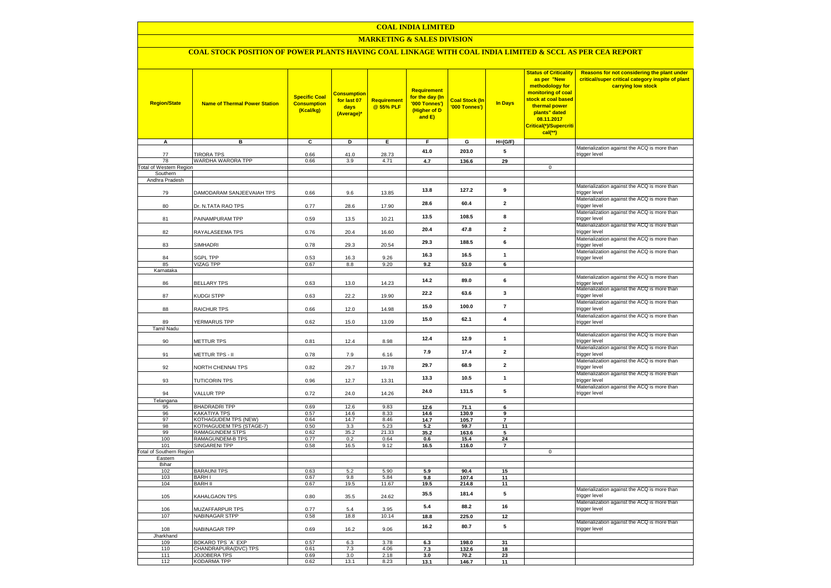### **COAL INDIA LIMITED**

### **MARKETING & SALES DIVISION**

# **COAL STOCK POSITION OF POWER PLANTS HAVING COAL LINKAGE WITH COAL INDIA LIMITED & SCCL AS PER CEA REPORT**

| <b>Region/State</b>             | <b>Name of Thermal Power Station</b> | <b>Specific Coal</b><br><b>Consumption</b><br>(Kcal/kg) | <b>Consumption</b><br>for last 07<br>days<br>(Average)* | Requirement<br>@ 55% PLF | <b>Requirement</b><br>for the day (In<br>'000 Tonnes')<br>(Higher of D<br>and E) | <b>Coal Stock (In</b><br>'000 Tonnes') | <b>In Days</b>          | <b>Status of Criticality</b><br>as per "New<br>methodology for<br>monitoring of coal<br>stock at coal based<br>thermal power<br>plants" dated<br>08.11.2017<br>Critical(*)/Supercriti<br>cal(**) | Reasons for not considering the plant under<br>critical/super critical category inspite of plant<br>carrying low stock |
|---------------------------------|--------------------------------------|---------------------------------------------------------|---------------------------------------------------------|--------------------------|----------------------------------------------------------------------------------|----------------------------------------|-------------------------|--------------------------------------------------------------------------------------------------------------------------------------------------------------------------------------------------|------------------------------------------------------------------------------------------------------------------------|
| A                               | в                                    | C                                                       | D                                                       | Е.                       | F.                                                                               | G                                      | $H=(G/F)$               |                                                                                                                                                                                                  |                                                                                                                        |
| 77                              | <b>TIRORA TPS</b>                    | 0.66                                                    | 41.0                                                    | 28.73                    | 41.0                                                                             | 203.0                                  | 5                       |                                                                                                                                                                                                  | Materialization against the ACQ is more than<br>trigger level                                                          |
| 78                              | WARDHA WARORA TPP                    | 0.66                                                    | 3.9                                                     | 4.71                     | 4.7                                                                              | 136.6                                  | 29                      |                                                                                                                                                                                                  |                                                                                                                        |
| <b>Total of Western Region</b>  |                                      |                                                         |                                                         |                          |                                                                                  |                                        |                         | $\mathbf 0$                                                                                                                                                                                      |                                                                                                                        |
| Southern<br>Andhra Pradesh      |                                      |                                                         |                                                         |                          |                                                                                  |                                        |                         |                                                                                                                                                                                                  |                                                                                                                        |
| 79                              | DAMODARAM SANJEEVAIAH TPS            | 0.66                                                    | 9.6                                                     | 13.85                    | 13.8                                                                             | 127.2                                  | 9                       |                                                                                                                                                                                                  | Materialization against the ACQ is more than<br>trigger level                                                          |
| 80                              | Dr. N.TATA RAO TPS                   | 0.77                                                    | 28.6                                                    | 17.90                    | 28.6                                                                             | 60.4                                   | $\overline{\mathbf{2}}$ |                                                                                                                                                                                                  | Materialization against the ACQ is more than<br>trigger level                                                          |
| 81                              | PAINAMPURAM TPP                      | 0.59                                                    | 13.5                                                    | 10.21                    | 13.5                                                                             | 108.5                                  | 8                       |                                                                                                                                                                                                  | Materialization against the ACQ is more than<br>trigger level                                                          |
| 82                              | RAYALASEEMA TPS                      | 0.76                                                    | 20.4                                                    | 16.60                    | 20.4                                                                             | 47.8                                   | $\mathbf{2}$            |                                                                                                                                                                                                  | Materialization against the ACQ is more than<br>trigger level                                                          |
| 83                              | SIMHADRI                             | 0.78                                                    | 29.3                                                    | 20.54                    | 29.3                                                                             | 188.5                                  | 6                       |                                                                                                                                                                                                  | Materialization against the ACQ is more than<br>trigger level<br>Materialization against the ACQ is more than          |
| 84                              | <b>SGPL TPP</b>                      | 0.53                                                    | 16.3                                                    | 9.26                     | 16.3                                                                             | 16.5                                   | $\mathbf{1}$            |                                                                                                                                                                                                  | trigger level                                                                                                          |
| 85                              | VIZAG TPP                            | 0.67                                                    | 8.8                                                     | 9.20                     | 9.2                                                                              | 53.0                                   | 6                       |                                                                                                                                                                                                  |                                                                                                                        |
| Karnataka                       |                                      |                                                         |                                                         |                          |                                                                                  |                                        |                         |                                                                                                                                                                                                  |                                                                                                                        |
| 86                              | <b>BELLARY TPS</b>                   | 0.63                                                    | 13.0                                                    | 14.23                    | 14.2                                                                             | 89.0                                   | 6                       |                                                                                                                                                                                                  | Materialization against the ACQ is more than<br>trigger level<br>Materialization against the ACQ is more than          |
| 87                              | KUDGI STPP                           | 0.63                                                    | 22.2                                                    | 19.90                    | 22.2                                                                             | 63.6                                   | $\mathbf{3}$            |                                                                                                                                                                                                  | trigger level<br>Materialization against the ACQ is more than                                                          |
| 88                              | RAICHUR TPS                          | 0.66                                                    | 12.0                                                    | 14.98                    | 15.0                                                                             | 100.0                                  | $\overline{7}$          |                                                                                                                                                                                                  | trigger level<br>Materialization against the ACQ is more than                                                          |
| 89<br><b>Tamil Nadu</b>         | YERMARUS TPP                         | 0.62                                                    | 15.0                                                    | 13.09                    | 15.0                                                                             | 62.1                                   | $\overline{\mathbf{4}}$ |                                                                                                                                                                                                  | trigger level                                                                                                          |
| 90                              | METTUR TPS                           | 0.81                                                    | 12.4                                                    | 8.98                     | 12.4                                                                             | 12.9                                   | $\mathbf{1}$            |                                                                                                                                                                                                  | Materialization against the ACQ is more than<br>trigger level                                                          |
| 91                              | METTUR TPS - II                      | 0.78                                                    | 7.9                                                     | 6.16                     | 7.9                                                                              | 17.4                                   | $\mathbf{2}$            |                                                                                                                                                                                                  | Materialization against the ACQ is more than<br>trigger level                                                          |
| 92                              | NORTH CHENNAI TPS                    | 0.82                                                    | 29.7                                                    | 19.78                    | 29.7                                                                             | 68.9                                   | $\overline{\mathbf{2}}$ |                                                                                                                                                                                                  | Materialization against the ACQ is more than<br>trigger level                                                          |
| 93                              | <b>TUTICORIN TPS</b>                 | 0.96                                                    | 12.7                                                    | 13.31                    | 13.3                                                                             | 10.5                                   | $\mathbf{1}$            |                                                                                                                                                                                                  | Materialization against the ACQ is more than<br>trigger level                                                          |
| 94                              | <b>VALLUR TPP</b>                    | 0.72                                                    | 24.0                                                    | 14.26                    | 24.0                                                                             | 131.5                                  | 5                       |                                                                                                                                                                                                  | Materialization against the ACQ is more than<br>trigger level                                                          |
| Telangana<br>95                 | <b>BHADRADRI TPP</b>                 | 0.69                                                    | 12.6                                                    | 9.83                     | 12.6                                                                             | 71.1                                   | 6                       |                                                                                                                                                                                                  |                                                                                                                        |
| 96                              | <b>KAKATIYA TPS</b>                  | 0.57                                                    | 14.6                                                    | 8.33                     | 14.6                                                                             | 130.9                                  | 9                       |                                                                                                                                                                                                  |                                                                                                                        |
| 97                              | KOTHAGUDEM TPS (NEW)                 | 0.64                                                    | 14.7                                                    | 8.46                     | 14.7                                                                             | 105.7                                  | $\overline{7}$          |                                                                                                                                                                                                  |                                                                                                                        |
| 98                              | KOTHAGUDEM TPS (STAGE-7)             | 0.50                                                    | 3.3                                                     | 5.23                     | 5.2                                                                              | 59.7                                   | 11                      |                                                                                                                                                                                                  |                                                                                                                        |
| 99<br>100                       | RAMAGUNDEM STPS<br>RAMAGUNDEM-B TPS  | 0.62<br>0.77                                            | 35.2<br>0.2                                             | 21.33<br>0.64            | 35.2<br>0.6                                                                      | 163.6<br>15.4                          | 5<br>24                 |                                                                                                                                                                                                  |                                                                                                                        |
| 101                             | <b>SINGARENI TPP</b>                 | 0.58                                                    | 16.5                                                    | 9.12                     | 16.5                                                                             | 116.0                                  | $\overline{7}$          |                                                                                                                                                                                                  |                                                                                                                        |
| <b>Total of Southern Region</b> |                                      |                                                         |                                                         |                          |                                                                                  |                                        |                         | $\mathsf 0$                                                                                                                                                                                      |                                                                                                                        |
| Eastern                         |                                      |                                                         |                                                         |                          |                                                                                  |                                        |                         |                                                                                                                                                                                                  |                                                                                                                        |
| Bihar<br>102                    | <b>BARAUNI TPS</b>                   | 0.63                                                    | 5.2                                                     | 5.90                     | 5.9                                                                              | 90.4                                   | 15                      |                                                                                                                                                                                                  |                                                                                                                        |
| 103                             | <b>BARHI</b>                         | 0.67                                                    | 9.8                                                     | 5.84                     | 9.8                                                                              | 107.4                                  | 11                      |                                                                                                                                                                                                  |                                                                                                                        |
| 104                             | <b>BARH II</b>                       | 0.67                                                    | 19.5                                                    | 11.67                    | 19.5                                                                             | 214.8                                  | 11                      |                                                                                                                                                                                                  |                                                                                                                        |
| 105                             | KAHALGAON TPS                        | 0.80                                                    | 35.5                                                    | 24.62                    | 35.5                                                                             | 181.4                                  | 5                       |                                                                                                                                                                                                  | Materialization against the ACQ is more than<br>trigger level<br>Materialization against the ACQ is more than          |
| 106                             | MUZAFFARPUR TPS                      | 0.77                                                    | 5.4                                                     | 3.95                     | 5.4                                                                              | 88.2                                   | 16                      |                                                                                                                                                                                                  | trigger level                                                                                                          |
| 107                             | <b>NABINAGAR STPP</b>                | 0.58                                                    | 18.8                                                    | 10.14                    | 18.8                                                                             | 225.0                                  | 12                      |                                                                                                                                                                                                  | Materialization against the ACQ is more than                                                                           |
| 108<br>Jharkhand                | NABINAGAR TPP                        | 0.69                                                    | 16.2                                                    | 9.06                     | 16.2                                                                             | 80.7                                   | 5                       |                                                                                                                                                                                                  | trigger level                                                                                                          |
| 109                             | BOKARO TPS 'A' EXP                   | 0.57                                                    | 6.3                                                     | 3.78                     | 6.3                                                                              | 198.0                                  | 31                      |                                                                                                                                                                                                  |                                                                                                                        |
| 110                             | CHANDRAPURA(DVC) TPS                 | 0.61                                                    | 7.3                                                     | 4.06                     | 7.3                                                                              | 132.6                                  | 18                      |                                                                                                                                                                                                  |                                                                                                                        |
| 111                             | <b>JOJOBERA TPS</b>                  | 0.69                                                    | 3.0                                                     | 2.18                     | 3.0                                                                              | 70.2                                   | 23                      |                                                                                                                                                                                                  |                                                                                                                        |
| 112                             | <b>KODARMA TPP</b>                   | 0.62                                                    | 13.1                                                    | 8.23                     | 13.1                                                                             | 146.7                                  | 11                      |                                                                                                                                                                                                  |                                                                                                                        |